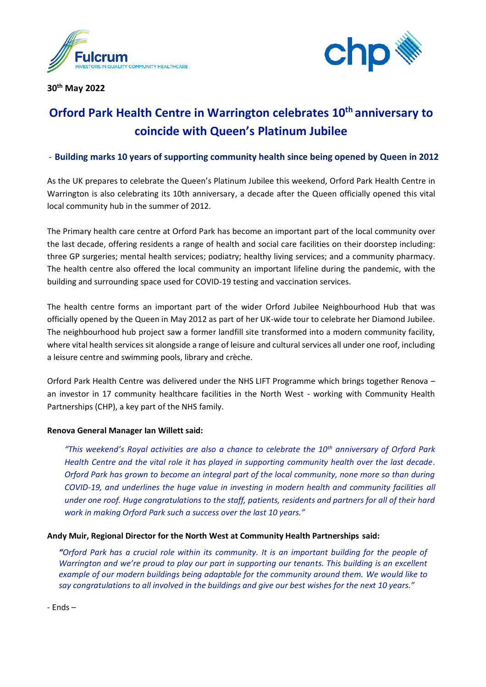

**30th May 2022**



# **Orford Park Health Centre in Warrington celebrates 10th anniversary to coincide with Queen's Platinum Jubilee**

## - **Building marks 10 years of supporting community health since being opened by Queen in 2012**

As the UK prepares to celebrate the Queen's Platinum Jubilee this weekend, Orford Park Health Centre in Warrington is also celebrating its 10th anniversary, a decade after the Queen officially opened this vital local community hub in the summer of 2012.

The Primary health care centre at Orford Park has become an important part of the local community over the last decade, offering residents a range of health and social care facilities on their doorstep including: three GP surgeries; mental health services; podiatry; healthy living services; and a community pharmacy. The health centre also offered the local community an important lifeline during the pandemic, with the building and surrounding space used for COVID-19 testing and vaccination services.

The health centre forms an important part of the wider Orford Jubilee Neighbourhood Hub that was officially opened by the Queen in May 2012 as part of her UK-wide tour to celebrate her Diamond Jubilee. The neighbourhood hub project saw a former landfill site transformed into a modern community facility, where vital health services sit alongside a range of leisure and cultural services all under one roof, including a leisure centre and swimming pools, library and crèche.

Orford Park Health Centre was delivered under the NHS LIFT Programme which brings together Renova – an investor in 17 community healthcare facilities in the North West - working with Community Health Partnerships (CHP), a key part of the NHS family.

### **Renova General Manager Ian Willett said:**

*"This weekend's Royal activities are also a chance to celebrate the 10th anniversary of Orford Park Health Centre and the vital role it has played in supporting community health over the last decade. Orford Park has grown to become an integral part of the local community, none more so than during COVID-19, and underlines the huge value in investing in modern health and community facilities all under one roof. Huge congratulations to the staff, patients, residents and partners for all of their hard work in making Orford Park such a success over the last 10 years."*

### **Andy Muir, Regional Director for the North West at Community Health Partnerships said:**

*"Orford Park has a crucial role within its community. It is an important building for the people of Warrington and we're proud to play our part in supporting our tenants. This building is an excellent example of our modern buildings being adaptable for the community around them. We would like to say congratulations to all involved in the buildings and give our best wishes for the next 10 years."*

- Ends –